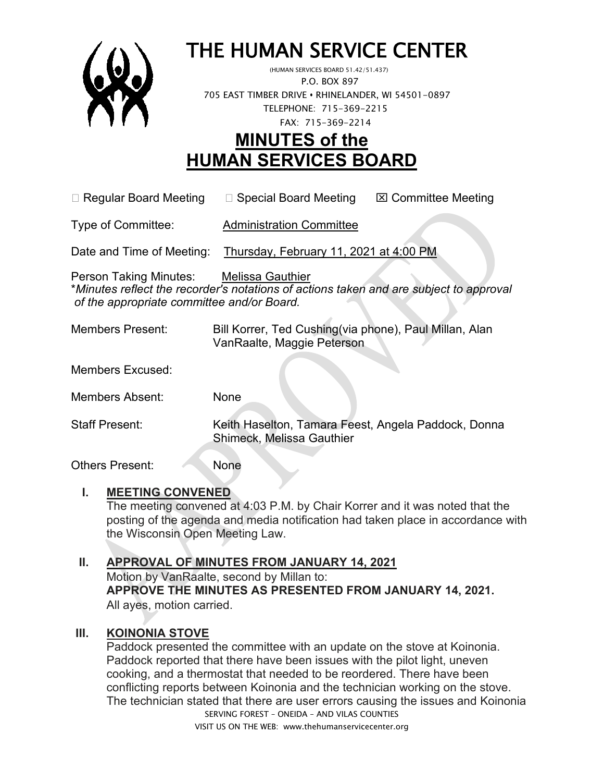

# THE HUMAN SERVICE CENTER (HUMAN SERVICES BOARD 51.42/51.437)

 P.O. BOX 897 705 EAST TIMBER DRIVE **•** RHINELANDER, WI 54501-0897 TELEPHONE: 715-369-2215 FAX: 715-369-2214

# **MINUTES of the HUMAN SERVICES BOARD**

 $\Box$  Regular Board Meeting  $\Box$  Special Board Meeting  $\Box$  Committee Meeting

Type of Committee: Administration Committee

Date and Time of Meeting: Thursday, February 11, 2021 at 4:00 PM

Person Taking Minutes: Melissa Gauthier \**Minutes reflect the recorder's notations of actions taken and are subject to approval of the appropriate committee and/or Board.*

Members Present: Bill Korrer, Ted Cushing(via phone), Paul Millan, Alan VanRaalte, Maggie Peterson

Members Excused:

Members Absent: None

Staff Present: Keith Haselton, Tamara Feest, Angela Paddock, Donna Shimeck, Melissa Gauthier

Others Present: None

# **I. MEETING CONVENED**

The meeting convened at 4:03 P.M. by Chair Korrer and it was noted that the posting of the agenda and media notification had taken place in accordance with the Wisconsin Open Meeting Law.

# **II. APPROVAL OF MINUTES FROM JANUARY 14, 2021**

Motion by VanRaalte, second by Millan to: **APPROVE THE MINUTES AS PRESENTED FROM JANUARY 14, 2021.**  All ayes, motion carried.

# **III. KOINONIA STOVE**

SERVING FOREST – ONEIDA – AND VILAS COUNTIES Paddock presented the committee with an update on the stove at Koinonia. Paddock reported that there have been issues with the pilot light, uneven cooking, and a thermostat that needed to be reordered. There have been conflicting reports between Koinonia and the technician working on the stove. The technician stated that there are user errors causing the issues and Koinonia

VISIT US ON THE WEB: www.thehumanservicecenter.org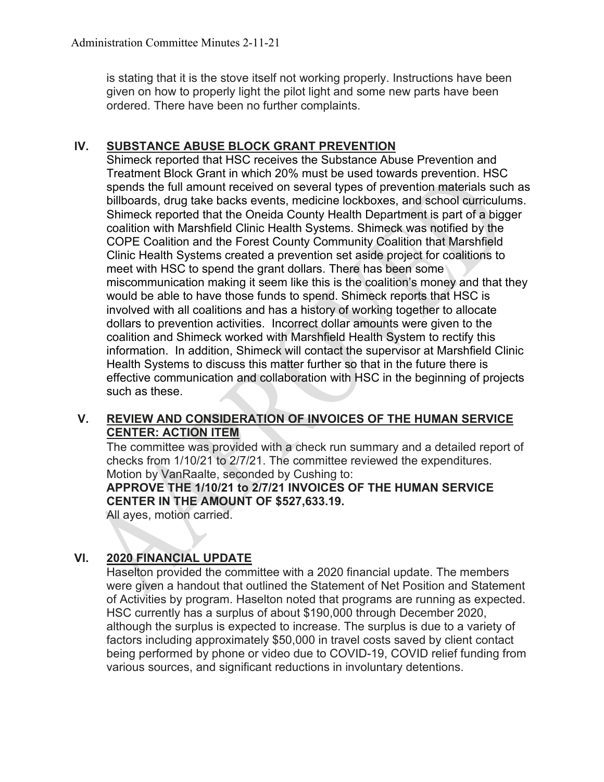is stating that it is the stove itself not working properly. Instructions have been given on how to properly light the pilot light and some new parts have been ordered. There have been no further complaints.

# **IV. SUBSTANCE ABUSE BLOCK GRANT PREVENTION**

Shimeck reported that HSC receives the Substance Abuse Prevention and Treatment Block Grant in which 20% must be used towards prevention. HSC spends the full amount received on several types of prevention materials such as billboards, drug take backs events, medicine lockboxes, and school curriculums. Shimeck reported that the Oneida County Health Department is part of a bigger coalition with Marshfield Clinic Health Systems. Shimeck was notified by the COPE Coalition and the Forest County Community Coalition that Marshfield Clinic Health Systems created a prevention set aside project for coalitions to meet with HSC to spend the grant dollars. There has been some miscommunication making it seem like this is the coalition's money and that they would be able to have those funds to spend. Shimeck reports that HSC is involved with all coalitions and has a history of working together to allocate dollars to prevention activities. Incorrect dollar amounts were given to the coalition and Shimeck worked with Marshfield Health System to rectify this information. In addition, Shimeck will contact the supervisor at Marshfield Clinic Health Systems to discuss this matter further so that in the future there is effective communication and collaboration with HSC in the beginning of projects such as these.

# **V. REVIEW AND CONSIDERATION OF INVOICES OF THE HUMAN SERVICE CENTER: ACTION ITEM**

The committee was provided with a check run summary and a detailed report of checks from 1/10/21 to 2/7/21. The committee reviewed the expenditures. Motion by VanRaalte, seconded by Cushing to:

# **APPROVE THE 1/10/21 to 2/7/21 INVOICES OF THE HUMAN SERVICE CENTER IN THE AMOUNT OF \$527,633.19.**

All ayes, motion carried.

# **VI. 2020 FINANCIAL UPDATE**

Haselton provided the committee with a 2020 financial update. The members were given a handout that outlined the Statement of Net Position and Statement of Activities by program. Haselton noted that programs are running as expected. HSC currently has a surplus of about \$190,000 through December 2020, although the surplus is expected to increase. The surplus is due to a variety of factors including approximately \$50,000 in travel costs saved by client contact being performed by phone or video due to COVID-19, COVID relief funding from various sources, and significant reductions in involuntary detentions.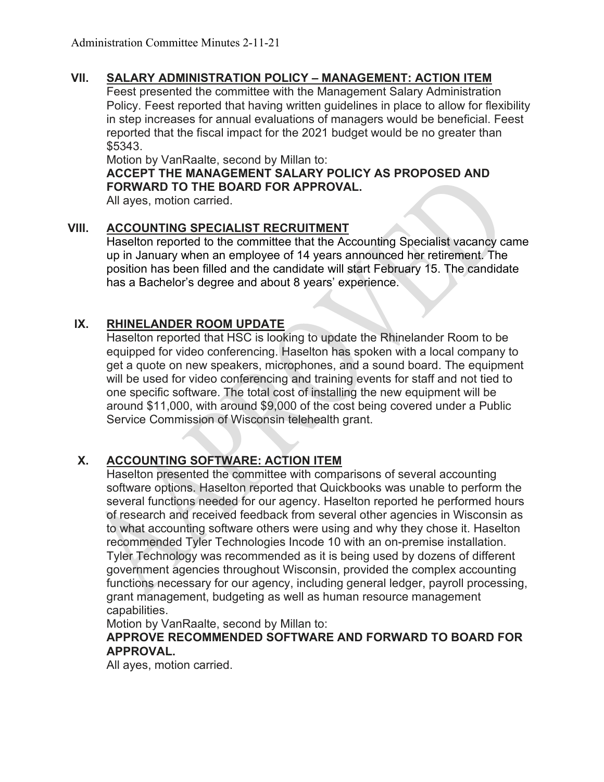# **VII. SALARY ADMINISTRATION POLICY – MANAGEMENT: ACTION ITEM**

Feest presented the committee with the Management Salary Administration Policy. Feest reported that having written guidelines in place to allow for flexibility in step increases for annual evaluations of managers would be beneficial. Feest reported that the fiscal impact for the 2021 budget would be no greater than \$5343.

Motion by VanRaalte, second by Millan to:

**ACCEPT THE MANAGEMENT SALARY POLICY AS PROPOSED AND FORWARD TO THE BOARD FOR APPROVAL.**

All ayes, motion carried.

# **VIII. ACCOUNTING SPECIALIST RECRUITMENT**

Haselton reported to the committee that the Accounting Specialist vacancy came up in January when an employee of 14 years announced her retirement. The position has been filled and the candidate will start February 15. The candidate has a Bachelor's degree and about 8 years' experience.

# **IX. RHINELANDER ROOM UPDATE**

Haselton reported that HSC is looking to update the Rhinelander Room to be equipped for video conferencing. Haselton has spoken with a local company to get a quote on new speakers, microphones, and a sound board. The equipment will be used for video conferencing and training events for staff and not tied to one specific software. The total cost of installing the new equipment will be around \$11,000, with around \$9,000 of the cost being covered under a Public Service Commission of Wisconsin telehealth grant.

# **X. ACCOUNTING SOFTWARE: ACTION ITEM**

Haselton presented the committee with comparisons of several accounting software options. Haselton reported that Quickbooks was unable to perform the several functions needed for our agency. Haselton reported he performed hours of research and received feedback from several other agencies in Wisconsin as to what accounting software others were using and why they chose it. Haselton recommended Tyler Technologies Incode 10 with an on-premise installation. Tyler Technology was recommended as it is being used by dozens of different government agencies throughout Wisconsin, provided the complex accounting functions necessary for our agency, including general ledger, payroll processing, grant management, budgeting as well as human resource management capabilities.

Motion by VanRaalte, second by Millan to:

#### **APPROVE RECOMMENDED SOFTWARE AND FORWARD TO BOARD FOR APPROVAL.**

All ayes, motion carried.